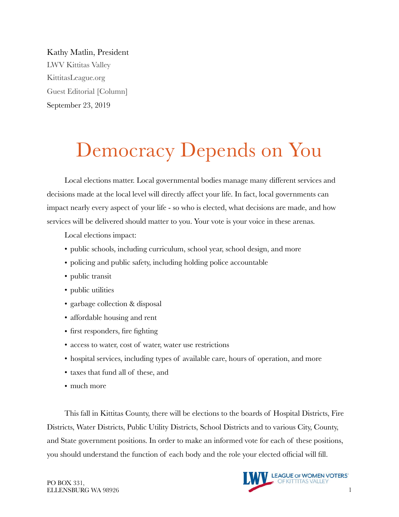Kathy Matlin, President LWV Kittitas Valley KittitasLeague.org Guest Editorial [Column] September 23, 2019

# Democracy Depends on You

Local elections matter. Local governmental bodies manage many different services and decisions made at the local level will directly affect your life. In fact, local governments can impact nearly every aspect of your life - so who is elected, what decisions are made, and how services will be delivered should matter to you. Your vote is your voice in these arenas.

Local elections impact:

- public schools, including curriculum, school year, school design, and more
- policing and public safety, including holding police accountable
- public transit
- public utilities
- garbage collection & disposal
- affordable housing and rent
- first responders, fire fighting
- access to water, cost of water, water use restrictions
- hospital services, including types of available care, hours of operation, and more
- taxes that fund all of these, and
- much more

This fall in Kittitas County, there will be elections to the boards of Hospital Districts, Fire Districts, Water Districts, Public Utility Districts, School Districts and to various City, County, and State government positions. In order to make an informed vote for each of these positions, you should understand the function of each body and the role your elected official will fill.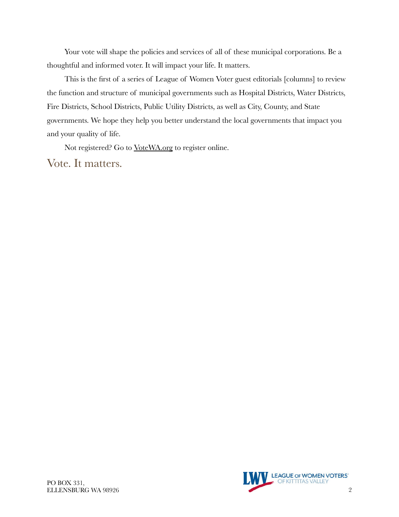Your vote will shape the policies and services of all of these municipal corporations. Be a thoughtful and informed voter. It will impact your life. It matters.

This is the first of a series of League of Women Voter guest editorials [columns] to review the function and structure of municipal governments such as Hospital Districts, Water Districts, Fire Districts, School Districts, Public Utility Districts, as well as City, County, and State governments. We hope they help you better understand the local governments that impact you and your quality of life.

Not registered? Go to [VoteWA.org](http://votewa.org) to register online.

Vote. It matters.

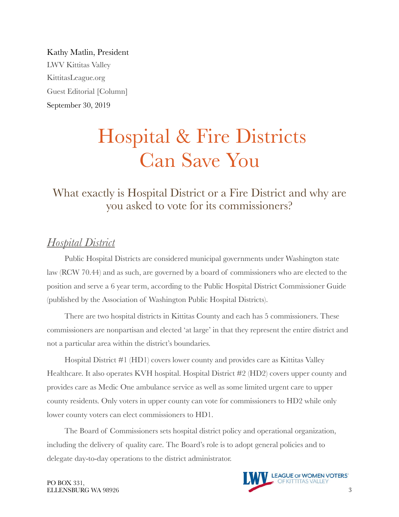Kathy Matlin, President LWV Kittitas Valley KittitasLeague.org Guest Editorial [Column] September 30, 2019

## Hospital & Fire Districts Can Save You

## What exactly is Hospital District or a Fire District and why are you asked to vote for its commissioners?

## *Hospital District*

Public Hospital Districts are considered municipal governments under Washington state law (RCW 70.44) and as such, are governed by a board of commissioners who are elected to the position and serve a 6 year term, according to the Public Hospital District Commissioner Guide (published by the Association of Washington Public Hospital Districts).

There are two hospital districts in Kittitas County and each has 5 commissioners. These commissioners are nonpartisan and elected 'at large' in that they represent the entire district and not a particular area within the district's boundaries.

Hospital District #1 (HD1) covers lower county and provides care as Kittitas Valley Healthcare. It also operates KVH hospital. Hospital District #2 (HD2) covers upper county and provides care as Medic One ambulance service as well as some limited urgent care to upper county residents. Only voters in upper county can vote for commissioners to HD2 while only lower county voters can elect commissioners to HD1.

The Board of Commissioners sets hospital district policy and operational organization, including the delivery of quality care. The Board's role is to adopt general policies and to delegate day-to-day operations to the district administrator.



PO BOX 331,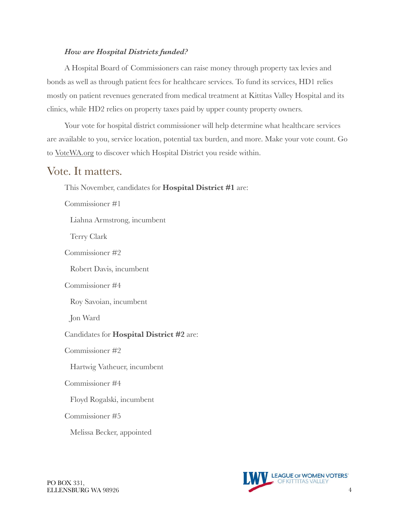#### *How are Hospital Districts funded?*

A Hospital Board of Commissioners can raise money through property tax levies and bonds as well as through patient fees for healthcare services. To fund its services, HD1 relies mostly on patient revenues generated from medical treatment at Kittitas Valley Hospital and its clinics, while HD2 relies on property taxes paid by upper county property owners.

Your vote for hospital district commissioner will help determine what healthcare services are available to you, service location, potential tax burden, and more. Make your vote count. Go to [VoteWA.org](http://votewa.org) to discover which Hospital District you reside within.

#### Vote. It matters.

This November, candidates for **Hospital District #1** are: Commissioner #1 Liahna Armstrong, incumbent Terry Clark Commissioner #2 Robert Davis, incumbent Commissioner #4 Roy Savoian, incumbent Jon Ward Candidates for **Hospital District #2** are: Commissioner #2 Hartwig Vatheuer, incumbent Commissioner #4 Floyd Rogalski, incumbent Commissioner #5 Melissa Becker, appointed

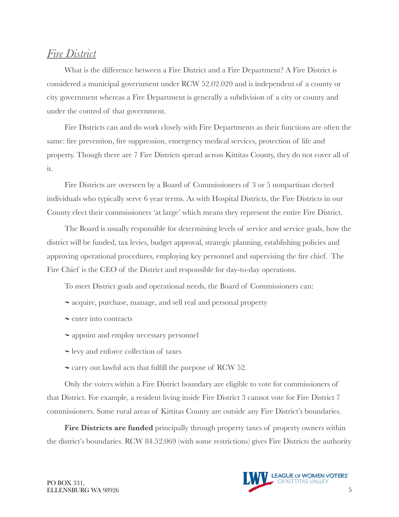## *Fire District*

What is the difference between a Fire District and a Fire Department? A Fire District is considered a municipal government under RCW 52.02.020 and is independent of a county or city government whereas a Fire Department is generally a subdivision of a city or county and under the control of that government.

Fire Districts can and do work closely with Fire Departments as their functions are often the same: fire prevention, fire suppression, emergency medical services, protection of life and property. Though there are 7 Fire Districts spread across Kittitas County, they do not cover all of it.

Fire Districts are overseen by a Board of Commissioners of 3 or 5 nonpartisan elected individuals who typically serve 6 year terms. As with Hospital Districts, the Fire Districts in our County elect their commissioners 'at large' which means they represent the entire Fire District.

The Board is usually responsible for determining levels of service and service goals, how the district will be funded, tax levies, budget approval, strategic planning, establishing policies and approving operational procedures, employing key personnel and supervising the fire chief. The Fire Chief is the CEO of the District and responsible for day-to-day operations.

To meet District goals and operational needs, the Board of Commissioners can:

- ~ acquire, purchase, manage, and sell real and personal property
- $\sim$  enter into contracts
- $\sim$  appoint and employ necessary personnel
- levy and enforce collection of taxes
- $\sim$  carry out lawful acts that fulfill the purpose of RCW 52.

Only the voters within a Fire District boundary are eligible to vote for commissioners of that District. For example, a resident living inside Fire District 3 cannot vote for Fire District 7 commissioners. Some rural areas of Kittitas County are outside any Fire District's boundaries.

Fire Districts are funded principally through property taxes of property owners within the district's boundaries. RCW 84.52.069 (with some restrictions) gives Fire Districts the authority

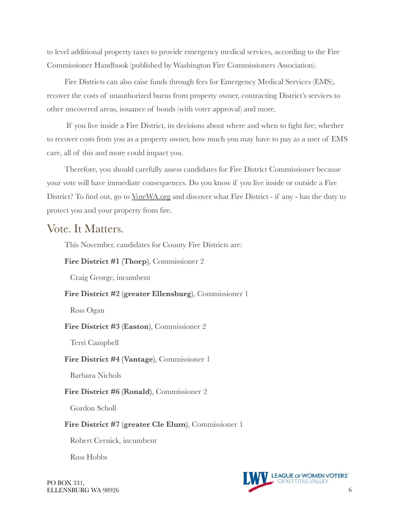to level additional property taxes to provide emergency medical services, according to the Fire Commissioner Handbook (published by Washington Fire Commissioners Association).

Fire Districts can also raise funds through fees for Emergency Medical Services (EMS), recover the costs of unauthorized burns from property owner, contracting District's services to other uncovered areas, issuance of bonds (with voter approval) and more.

 If you live inside a Fire District, its decisions about where and when to fight fire; whether to recover costs from you as a property owner, how much you may have to pay as a user of EMS care, all of this and more could impact you.

Therefore, you should carefully assess candidates for Fire District Commissioner because your vote will have immediate consequences. Do you know if you live inside or outside a Fire District? To find out, go to <u>VoteWA.org</u> and discover what Fire District - if any - has the duty to protect you and your property from fire.

### Vote. It Matters.

This November, candidates for County Fire Districts are:

**Fire District #1 (Thorp)**, Commissioner 2

Craig George, incumbent

**Fire District #2 (greater Ellensburg)**, Commissioner 1

Ross Ogan

**Fire District #3 (Easton)**, Commissioner 2

Terri Campbell

**Fire District #4 (Vantage)**, Commissioner 1

Barbara Nichols

#### **Fire District #6 (Ronald)**, Commissioner 2

Gordon Scholl

#### **Fire District #7 (greater Cle Elum)**, Commissioner 1

Robert Cernick, incumbent

Russ Hobbs

PO BOX 331,